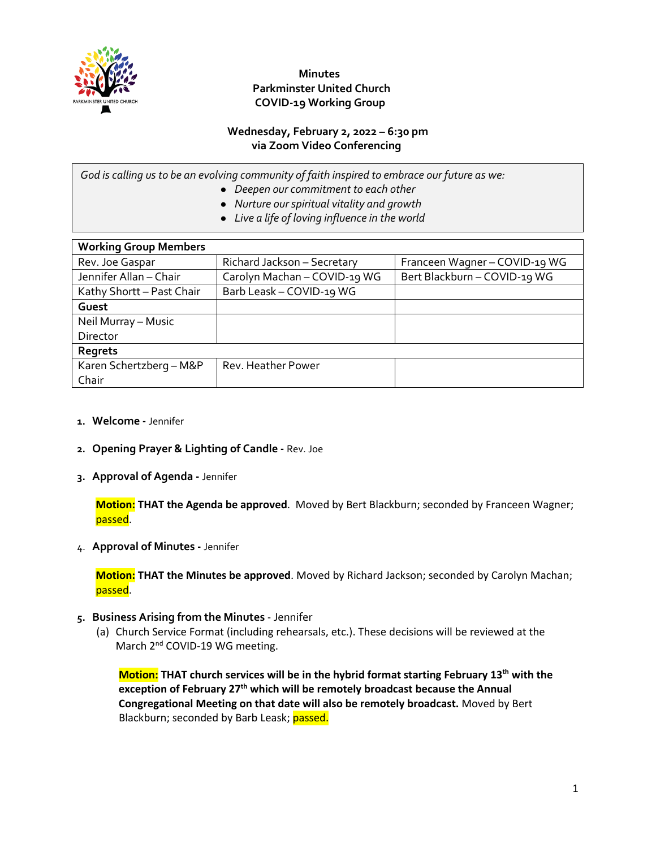

### **Wednesday, February 2, 2022 – 6:30 pm via Zoom Video Conferencing**

*God is calling us to be an evolving community of faith inspired to embrace our future as we:*

- *Deepen our commitment to each other*
- *Nurture our spiritual vitality and growth*
- *Live a life of loving influence in the world*

| <b>Working Group Members</b> |                              |                               |  |  |
|------------------------------|------------------------------|-------------------------------|--|--|
| Rev. Joe Gaspar              | Richard Jackson - Secretary  | Franceen Wagner - COVID-19 WG |  |  |
| Jennifer Allan - Chair       | Carolyn Machan - COVID-19 WG | Bert Blackburn - COVID-19 WG  |  |  |
| Kathy Shortt - Past Chair    | Barb Leask - COVID-19 WG     |                               |  |  |
| Guest                        |                              |                               |  |  |
| Neil Murray - Music          |                              |                               |  |  |
| Director                     |                              |                               |  |  |
| Regrets                      |                              |                               |  |  |
| Karen Schertzberg - M&P      | Rev. Heather Power           |                               |  |  |
| Chair                        |                              |                               |  |  |

- **1. Welcome -** Jennifer
- **2. Opening Prayer & Lighting of Candle -** Rev. Joe
- **3. Approval of Agenda -** Jennifer

**Motion: THAT the Agenda be approved**. Moved by Bert Blackburn; seconded by Franceen Wagner; passed.

4. **Approval of Minutes -** Jennifer

**Motion: THAT the Minutes be approved**. Moved by Richard Jackson; seconded by Carolyn Machan; passed.

- **5. Business Arising from the Minutes**  Jennifer
	- (a) Church Service Format (including rehearsals, etc.). These decisions will be reviewed at the March 2<sup>nd</sup> COVID-19 WG meeting.

**Motion: THAT** church services will be in the hybrid format starting February 13<sup>th</sup> with the **exception of February 27th which will be remotely broadcast because the Annual Congregational Meeting on that date will also be remotely broadcast.** Moved by Bert Blackburn; seconded by Barb Leask; passed.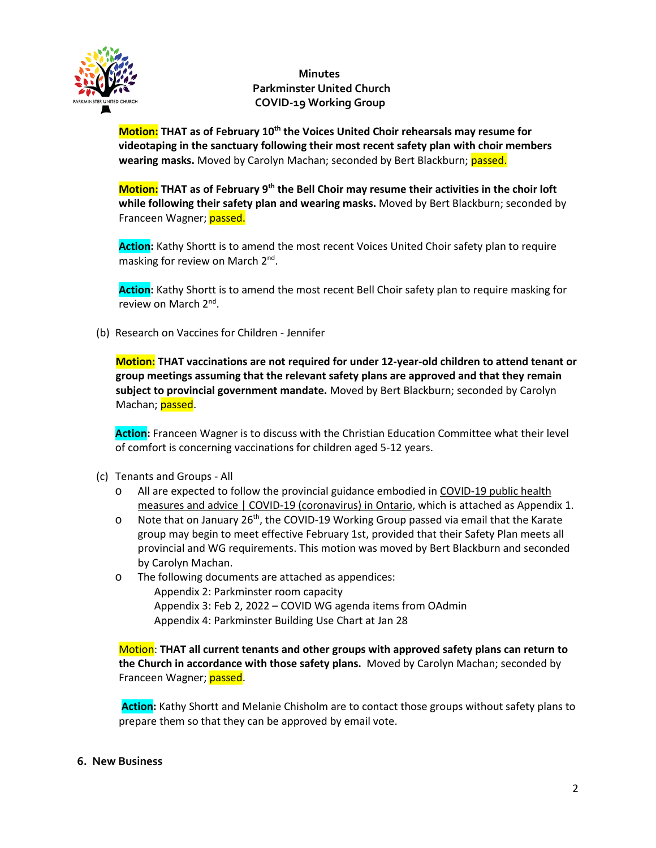

**Motion: THAT** as of February 10<sup>th</sup> the Voices United Choir rehearsals may resume for **videotaping in the sanctuary following their most recent safety plan with choir members wearing masks.** Moved by Carolyn Machan; seconded by Bert Blackburn; **passed.** 

**Motion: THAT as of February 9th the Bell Choir may resume their activities in the choir loft while following their safety plan and wearing masks.** Moved by Bert Blackburn; seconded by Franceen Wagner; passed.

**Action:** Kathy Shortt is to amend the most recent Voices United Choir safety plan to require masking for review on March 2nd.

**Action:** Kathy Shortt is to amend the most recent Bell Choir safety plan to require masking for review on March 2nd.

(b) Research on Vaccines for Children - Jennifer

**Motion: THAT vaccinations are not required for under 12-year-old children to attend tenant or group meetings assuming that the relevant safety plans are approved and that they remain subject to provincial government mandate.** Moved by Bert Blackburn; seconded by Carolyn Machan; **passed**.

**Action:** Franceen Wagner is to discuss with the Christian Education Committee what their level of comfort is concerning vaccinations for children aged 5-12 years.

- (c) Tenants and Groups All
	- o All are expected to follow the provincial guidance embodied i[n COVID-19 public health](about:blank#returning-to-our-plan-to-safely-reopen-ontario)  [measures and advice | COVID-19 \(coronavirus\) in Ontario,](about:blank#returning-to-our-plan-to-safely-reopen-ontario) which is attached as Appendix 1.
	- $\circ$  Note that on January 26<sup>th</sup>, the COVID-19 Working Group passed via email that the Karate group may begin to meet effective February 1st, provided that their Safety Plan meets all provincial and WG requirements. This motion was moved by Bert Blackburn and seconded by Carolyn Machan.
	- o The following documents are attached as appendices: Appendix 2: Parkminster room capacity Appendix 3: Feb 2, 2022 – COVID WG agenda items from OAdmin Appendix 4: Parkminster Building Use Chart at Jan 28

Motion: **THAT all current tenants and other groups with approved safety plans can return to the Church in accordance with those safety plans.** Moved by Carolyn Machan; seconded by Franceen Wagner; passed.

**Action:** Kathy Shortt and Melanie Chisholm are to contact those groups without safety plans to prepare them so that they can be approved by email vote.

### **6. New Business**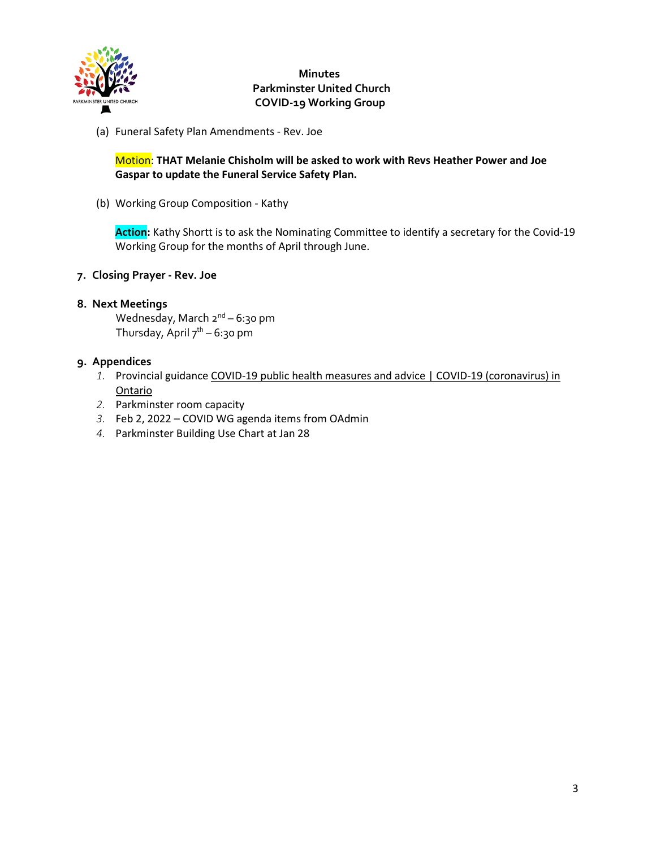

(a) Funeral Safety Plan Amendments - Rev. Joe

Motion: **THAT Melanie Chisholm will be asked to work with Revs Heather Power and Joe Gaspar to update the Funeral Service Safety Plan.**

(b) Working Group Composition - Kathy

**Action:** Kathy Shortt is to ask the Nominating Committee to identify a secretary for the Covid-19 Working Group for the months of April through June.

**7. Closing Prayer - Rev. Joe**

### **8. Next Meetings**

Wednesday, March  $2^{nd}$  – 6:30 pm Thursday, April  $7^{th}$  – 6:30 pm

### **9. Appendices**

- *1.* Provincial guidance [COVID-19 public health measures and advice | COVID-19 \(coronavirus\) in](about:blank#returning-to-our-plan-to-safely-reopen-ontario)  [Ontario](about:blank#returning-to-our-plan-to-safely-reopen-ontario)
- *2.* Parkminster room capacity
- *3.* Feb 2, 2022 COVID WG agenda items from OAdmin
- *4.* Parkminster Building Use Chart at Jan 28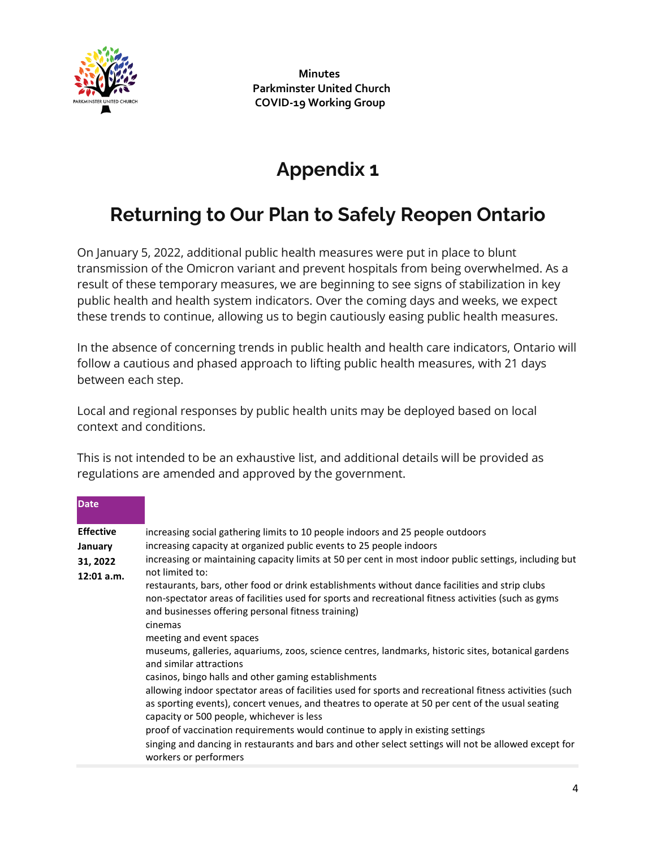

# **Appendix 1**

# **Returning to Our Plan to Safely Reopen Ontario**

On January 5, 2022, additional public health measures were put in place to blunt transmission of the Omicron variant and prevent hospitals from being overwhelmed. As a result of these temporary measures, we are beginning to see signs of stabilization in key public health and health system indicators. Over the coming days and weeks, we expect these trends to continue, allowing us to begin cautiously easing public health measures.

In the absence of concerning trends in public health and health care indicators, Ontario will follow a cautious and phased approach to lifting public health measures, with 21 days between each step.

Local and regional responses by public health units may be deployed based on local context and conditions.

This is not intended to be an exhaustive list, and additional details will be provided as regulations are amended and approved by the government.

| <b>Date</b>      |                                                                                                                                                                                                                                                                        |
|------------------|------------------------------------------------------------------------------------------------------------------------------------------------------------------------------------------------------------------------------------------------------------------------|
| <b>Effective</b> | increasing social gathering limits to 10 people indoors and 25 people outdoors                                                                                                                                                                                         |
| January          | increasing capacity at organized public events to 25 people indoors                                                                                                                                                                                                    |
| 31, 2022         | increasing or maintaining capacity limits at 50 per cent in most indoor public settings, including but                                                                                                                                                                 |
| $12:01$ a.m.     | not limited to:                                                                                                                                                                                                                                                        |
|                  | restaurants, bars, other food or drink establishments without dance facilities and strip clubs<br>non-spectator areas of facilities used for sports and recreational fitness activities (such as gyms<br>and businesses offering personal fitness training)<br>cinemas |
|                  | meeting and event spaces                                                                                                                                                                                                                                               |
|                  | museums, galleries, aquariums, zoos, science centres, landmarks, historic sites, botanical gardens<br>and similar attractions                                                                                                                                          |
|                  | casinos, bingo halls and other gaming establishments                                                                                                                                                                                                                   |
|                  | allowing indoor spectator areas of facilities used for sports and recreational fitness activities (such<br>as sporting events), concert venues, and theatres to operate at 50 per cent of the usual seating<br>capacity or 500 people, whichever is less               |
|                  | proof of vaccination requirements would continue to apply in existing settings<br>singing and dancing in restaurants and bars and other select settings will not be allowed except for<br>workers or performers                                                        |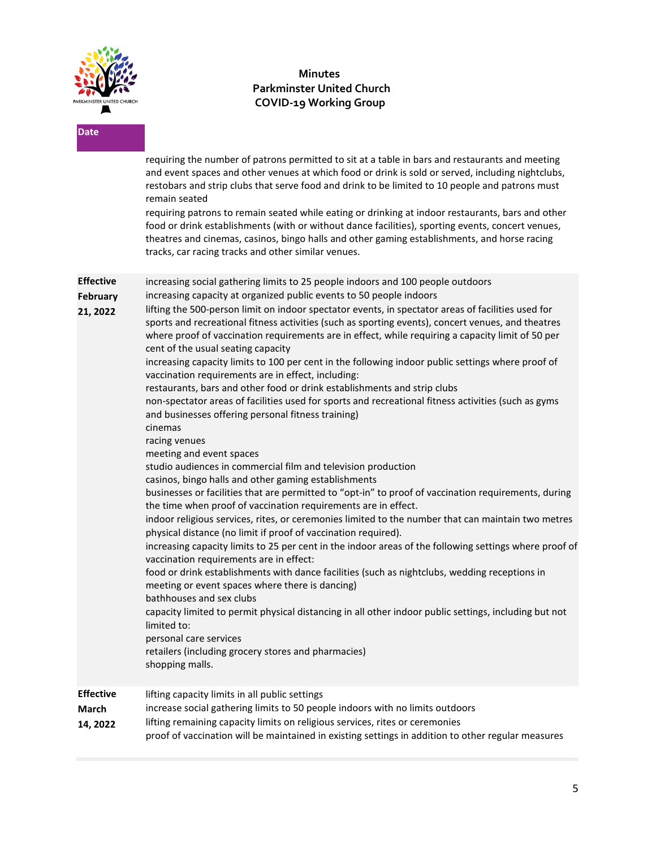

**Date** 

## **Minutes Parkminster United Church COVID-19 Working Group**

|                                                 | requiring the number of patrons permitted to sit at a table in bars and restaurants and meeting<br>and event spaces and other venues at which food or drink is sold or served, including nightclubs,<br>restobars and strip clubs that serve food and drink to be limited to 10 people and patrons must<br>remain seated                                                                                                                                                                                                                                                                                                                                                                                                                                                                                                                                                                                                                                                                                                                                                                                                                                                                                                                                                                                                                                                                                                                                                                                                                                                                                                                                                                                                                                                                                                                                                                                                                                                                                              |
|-------------------------------------------------|-----------------------------------------------------------------------------------------------------------------------------------------------------------------------------------------------------------------------------------------------------------------------------------------------------------------------------------------------------------------------------------------------------------------------------------------------------------------------------------------------------------------------------------------------------------------------------------------------------------------------------------------------------------------------------------------------------------------------------------------------------------------------------------------------------------------------------------------------------------------------------------------------------------------------------------------------------------------------------------------------------------------------------------------------------------------------------------------------------------------------------------------------------------------------------------------------------------------------------------------------------------------------------------------------------------------------------------------------------------------------------------------------------------------------------------------------------------------------------------------------------------------------------------------------------------------------------------------------------------------------------------------------------------------------------------------------------------------------------------------------------------------------------------------------------------------------------------------------------------------------------------------------------------------------------------------------------------------------------------------------------------------------|
|                                                 | requiring patrons to remain seated while eating or drinking at indoor restaurants, bars and other<br>food or drink establishments (with or without dance facilities), sporting events, concert venues,<br>theatres and cinemas, casinos, bingo halls and other gaming establishments, and horse racing<br>tracks, car racing tracks and other similar venues.                                                                                                                                                                                                                                                                                                                                                                                                                                                                                                                                                                                                                                                                                                                                                                                                                                                                                                                                                                                                                                                                                                                                                                                                                                                                                                                                                                                                                                                                                                                                                                                                                                                         |
| <b>Effective</b><br><b>February</b><br>21, 2022 | increasing social gathering limits to 25 people indoors and 100 people outdoors<br>increasing capacity at organized public events to 50 people indoors<br>lifting the 500-person limit on indoor spectator events, in spectator areas of facilities used for<br>sports and recreational fitness activities (such as sporting events), concert venues, and theatres<br>where proof of vaccination requirements are in effect, while requiring a capacity limit of 50 per<br>cent of the usual seating capacity<br>increasing capacity limits to 100 per cent in the following indoor public settings where proof of<br>vaccination requirements are in effect, including:<br>restaurants, bars and other food or drink establishments and strip clubs<br>non-spectator areas of facilities used for sports and recreational fitness activities (such as gyms<br>and businesses offering personal fitness training)<br>cinemas<br>racing venues<br>meeting and event spaces<br>studio audiences in commercial film and television production<br>casinos, bingo halls and other gaming establishments<br>businesses or facilities that are permitted to "opt-in" to proof of vaccination requirements, during<br>the time when proof of vaccination requirements are in effect.<br>indoor religious services, rites, or ceremonies limited to the number that can maintain two metres<br>physical distance (no limit if proof of vaccination required).<br>increasing capacity limits to 25 per cent in the indoor areas of the following settings where proof of<br>vaccination requirements are in effect:<br>food or drink establishments with dance facilities (such as nightclubs, wedding receptions in<br>meeting or event spaces where there is dancing)<br>bathhouses and sex clubs<br>capacity limited to permit physical distancing in all other indoor public settings, including but not<br>limited to:<br>personal care services<br>retailers (including grocery stores and pharmacies)<br>shopping malls. |
| <b>Effective</b><br>March<br>14, 2022           | lifting capacity limits in all public settings<br>increase social gathering limits to 50 people indoors with no limits outdoors<br>lifting remaining capacity limits on religious services, rites or ceremonies<br>proof of vaccination will be maintained in existing settings in addition to other regular measures                                                                                                                                                                                                                                                                                                                                                                                                                                                                                                                                                                                                                                                                                                                                                                                                                                                                                                                                                                                                                                                                                                                                                                                                                                                                                                                                                                                                                                                                                                                                                                                                                                                                                                 |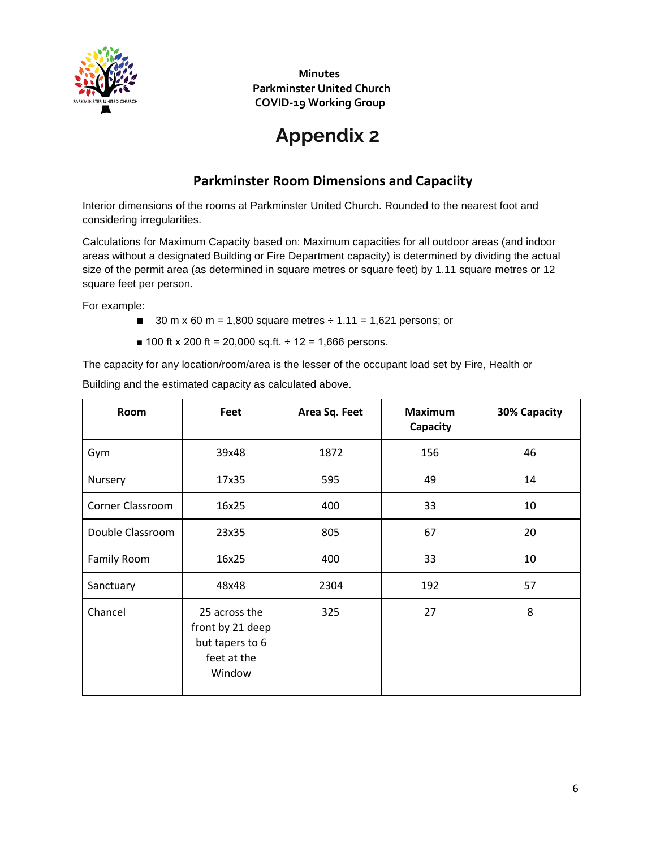

# **Appendix 2**

# **Parkminster Room Dimensions and Capaciity**

Interior dimensions of the rooms at Parkminster United Church. Rounded to the nearest foot and considering irregularities.

Calculations for Maximum Capacity based on: Maximum capacities for all outdoor areas (and indoor areas without a designated Building or Fire Department capacity) is determined by dividing the actual size of the permit area (as determined in square metres or square feet) by 1.11 square metres or 12 square feet per person.

For example:

- $\blacksquare$  30 m x 60 m = 1,800 square metres  $\div$  1.11 = 1,621 persons; or
- $\blacksquare$  100 ft x 200 ft = 20,000 sq.ft. ÷ 12 = 1,666 persons.

The capacity for any location/room/area is the lesser of the occupant load set by Fire, Health or Building and the estimated capacity as calculated above.

| Room                    | Feet                                                                          | Area Sq. Feet | <b>Maximum</b><br>Capacity | 30% Capacity |
|-------------------------|-------------------------------------------------------------------------------|---------------|----------------------------|--------------|
| Gym                     | 39x48                                                                         | 1872          | 156                        | 46           |
| Nursery                 | 17x35                                                                         | 595<br>49     |                            | 14           |
| <b>Corner Classroom</b> | 16x25                                                                         | 400           | 33                         | 10           |
| Double Classroom        | 23x35                                                                         | 805           | 67                         | 20           |
| Family Room             | 16x25                                                                         | 400           | 33                         | 10           |
| Sanctuary               | 48x48                                                                         | 2304          | 192                        | 57           |
| Chancel                 | 25 across the<br>front by 21 deep<br>but tapers to 6<br>feet at the<br>Window | 325           | 27                         | 8            |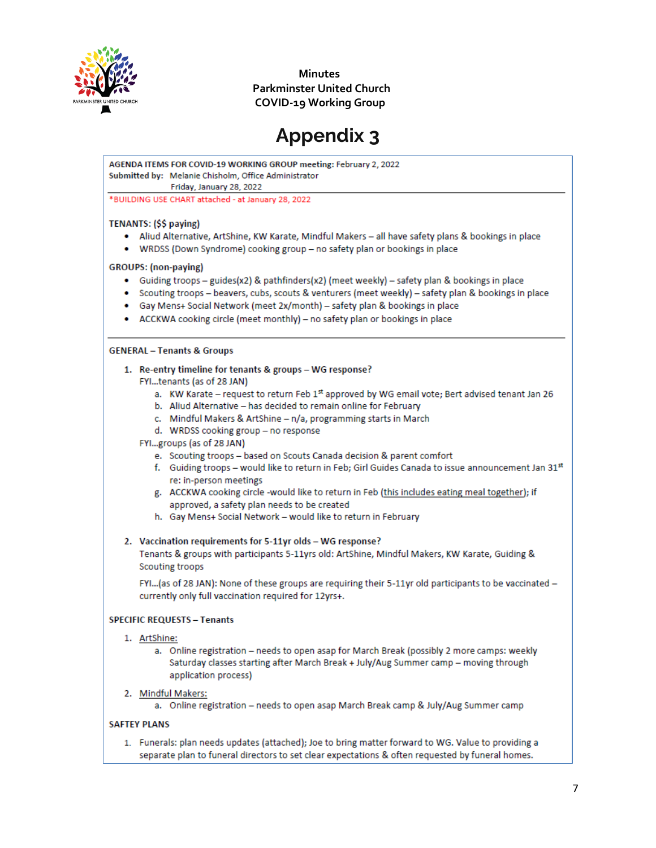

# **Appendix 3**

AGENDA ITEMS FOR COVID-19 WORKING GROUP meeting: February 2, 2022 Submitted by: Melanie Chisholm, Office Administrator

Friday, January 28, 2022

\*BUILDING USE CHART attached - at January 28, 2022

#### TENANTS: (\$\$ paying)

- . Aliud Alternative, ArtShine, KW Karate, Mindful Makers all have safety plans & bookings in place
- WRDSS (Down Syndrome) cooking group no safety plan or bookings in place

#### **GROUPS:** (non-paying)

- Guiding troops guides(x2) & pathfinders(x2) (meet weekly) safety plan & bookings in place
- Scouting troops beavers, cubs, scouts & venturers (meet weekly) safety plan & bookings in place
- Gay Mens+ Social Network (meet 2x/month) safety plan & bookings in place
- ACCKWA cooking circle (meet monthly) no safety plan or bookings in place

#### **GENERAL - Tenants & Groups**

- 1. Re-entry timeline for tenants & groups WG response?
	- FYI...tenants (as of 28 JAN)
		- a. KW Karate request to return Feb 1st approved by WG email vote; Bert advised tenant Jan 26
		- b. Aliud Alternative has decided to remain online for February
		- c. Mindful Makers & ArtShine n/a, programming starts in March
		- d. WRDSS cooking group no response
	- FYI...groups (as of 28 JAN)
		- e. Scouting troops based on Scouts Canada decision & parent comfort
		- f. Guiding troops would like to return in Feb; Girl Guides Canada to issue announcement Jan 31st re: in-person meetings
		- g. ACCKWA cooking circle -would like to return in Feb (this includes eating meal together); if approved, a safety plan needs to be created
		- h. Gay Mens+ Social Network would like to return in February

#### 2. Vaccination requirements for 5-11yr olds - WG response?

Tenants & groups with participants 5-11yrs old: ArtShine, Mindful Makers, KW Karate, Guiding & Scouting troops

FYI...(as of 28 JAN): None of these groups are requiring their 5-11yr old participants to be vaccinated currently only full vaccination required for 12yrs+.

#### **SPECIFIC REQUESTS - Tenants**

- 1. ArtShine:
	- a. Online registration needs to open asap for March Break (possibly 2 more camps: weekly Saturday classes starting after March Break + July/Aug Summer camp - moving through application process)
- 2. Mindful Makers:
	- a. Online registration needs to open asap March Break camp & July/Aug Summer camp

#### **SAFTEY PLANS**

1. Funerals: plan needs updates (attached); Joe to bring matter forward to WG. Value to providing a separate plan to funeral directors to set clear expectations & often requested by funeral homes.